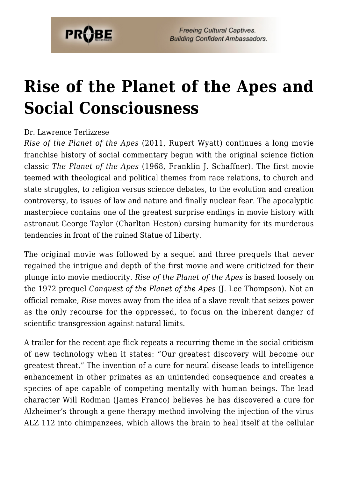

## **[Rise of the Planet of the Apes and](https://probe.org/rise-of-the-planet-of-the-apes-and-social-consciousness/) [Social Consciousness](https://probe.org/rise-of-the-planet-of-the-apes-and-social-consciousness/)**

## Dr. Lawrence Terlizzese

*Rise of the Planet of the Apes* (2011, Rupert Wyatt) continues a long movie franchise history of social commentary begun with the original science fiction classic *The Planet of the Apes* (1968, Franklin J. Schaffner). The first movie teemed with theological and political themes from race relations, to church and state struggles, to religion versus science debates, to the evolution and creation controversy, to issues of law and nature and finally nuclear fear. The apocalyptic masterpiece contains one of the greatest surprise endings in movie history with astronaut George Taylor (Charlton Heston) cursing humanity for its murderous tendencies in front of the ruined Statue of Liberty.

The original movie was followed by a sequel and three prequels that never regained the intrigue and depth of the first movie and were criticized for their plunge into movie mediocrity. *Rise of the Planet of the Apes* is based loosely on the 1972 prequel *Conquest of the Planet of the Apes* (J. Lee Thompson). Not an official remake, *Rise* moves away from the idea of a slave revolt that seizes power as the only recourse for the oppressed, to focus on the inherent danger of scientific transgression against natural limits.

A trailer for the recent ape flick repeats a recurring theme in the social criticism of new technology when it states: "Our greatest discovery will become our greatest threat." The invention of a cure for neural disease leads to intelligence enhancement in other primates as an unintended consequence and creates a species of ape capable of competing mentally with human beings. The lead character Will Rodman (James Franco) believes he has discovered a cure for Alzheimer's through a gene therapy method involving the injection of the virus ALZ 112 into chimpanzees, which allows the brain to heal itself at the cellular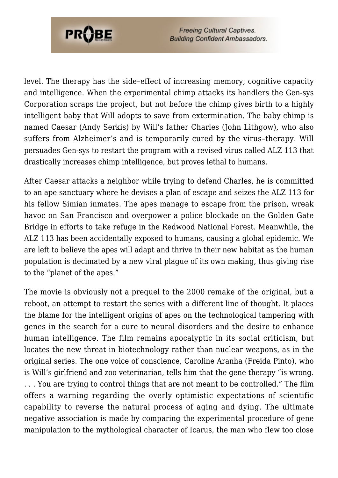

**Freeing Cultural Captives. Building Confident Ambassadors.** 

level. The therapy has the side–effect of increasing memory, cognitive capacity and intelligence. When the experimental chimp attacks its handlers the Gen-sys Corporation scraps the project, but not before the chimp gives birth to a highly intelligent baby that Will adopts to save from extermination. The baby chimp is named Caesar (Andy Serkis) by Will's father Charles (John Lithgow), who also suffers from Alzheimer's and is temporarily cured by the virus–therapy. Will persuades Gen-sys to restart the program with a revised virus called ALZ 113 that drastically increases chimp intelligence, but proves lethal to humans.

After Caesar attacks a neighbor while trying to defend Charles, he is committed to an ape sanctuary where he devises a plan of escape and seizes the ALZ 113 for his fellow Simian inmates. The apes manage to escape from the prison, wreak havoc on San Francisco and overpower a police blockade on the Golden Gate Bridge in efforts to take refuge in the Redwood National Forest. Meanwhile, the ALZ 113 has been accidentally exposed to humans, causing a global epidemic. We are left to believe the apes will adapt and thrive in their new habitat as the human population is decimated by a new viral plague of its own making, thus giving rise to the "planet of the apes."

The movie is obviously not a prequel to the 2000 remake of the original, but a reboot, an attempt to restart the series with a different line of thought. It places the blame for the intelligent origins of apes on the technological tampering with genes in the search for a cure to neural disorders and the desire to enhance human intelligence. The film remains apocalyptic in its social criticism, but locates the new threat in biotechnology rather than nuclear weapons, as in the original series. The one voice of conscience, Caroline Aranha (Freida Pinto), who is Will's girlfriend and zoo veterinarian, tells him that the gene therapy "is wrong. . . . You are trying to control things that are not meant to be controlled." The film offers a warning regarding the overly optimistic expectations of scientific capability to reverse the natural process of aging and dying. The ultimate negative association is made by comparing the experimental procedure of gene manipulation to the mythological character of Icarus, the man who flew too close